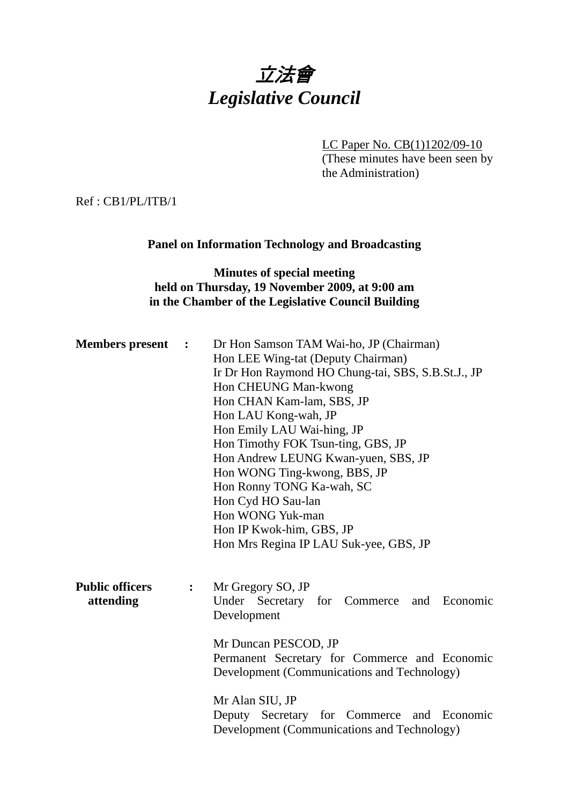

LC Paper No. CB(1)1202/09-10 (These minutes have been seen by the Administration)

Ref : CB1/PL/ITB/1

#### **Panel on Information Technology and Broadcasting**

# **Minutes of special meeting held on Thursday, 19 November 2009, at 9:00 am in the Chamber of the Legislative Council Building**

| <b>Members</b> present                                | $\ddot{\phantom{1}}$ | Dr Hon Samson TAM Wai-ho, JP (Chairman)<br>Hon LEE Wing-tat (Deputy Chairman)<br>Ir Dr Hon Raymond HO Chung-tai, SBS, S.B.St.J., JP<br>Hon CHEUNG Man-kwong<br>Hon CHAN Kam-lam, SBS, JP<br>Hon LAU Kong-wah, JP<br>Hon Emily LAU Wai-hing, JP<br>Hon Timothy FOK Tsun-ting, GBS, JP<br>Hon Andrew LEUNG Kwan-yuen, SBS, JP<br>Hon WONG Ting-kwong, BBS, JP<br>Hon Ronny TONG Ka-wah, SC<br>Hon Cyd HO Sau-lan<br>Hon WONG Yuk-man<br>Hon IP Kwok-him, GBS, JP<br>Hon Mrs Regina IP LAU Suk-yee, GBS, JP |
|-------------------------------------------------------|----------------------|----------------------------------------------------------------------------------------------------------------------------------------------------------------------------------------------------------------------------------------------------------------------------------------------------------------------------------------------------------------------------------------------------------------------------------------------------------------------------------------------------------|
| <b>Public officers</b><br>$\ddot{\cdot}$<br>attending |                      | Mr Gregory SO, JP<br>Under Secretary for Commerce<br>and Economic<br>Development<br>Mr Duncan PESCOD, JP<br>Permanent Secretary for Commerce and Economic<br>Development (Communications and Technology)                                                                                                                                                                                                                                                                                                 |
|                                                       |                      | Mr Alan SIU, JP<br>Deputy Secretary for Commerce and Economic<br>Development (Communications and Technology)                                                                                                                                                                                                                                                                                                                                                                                             |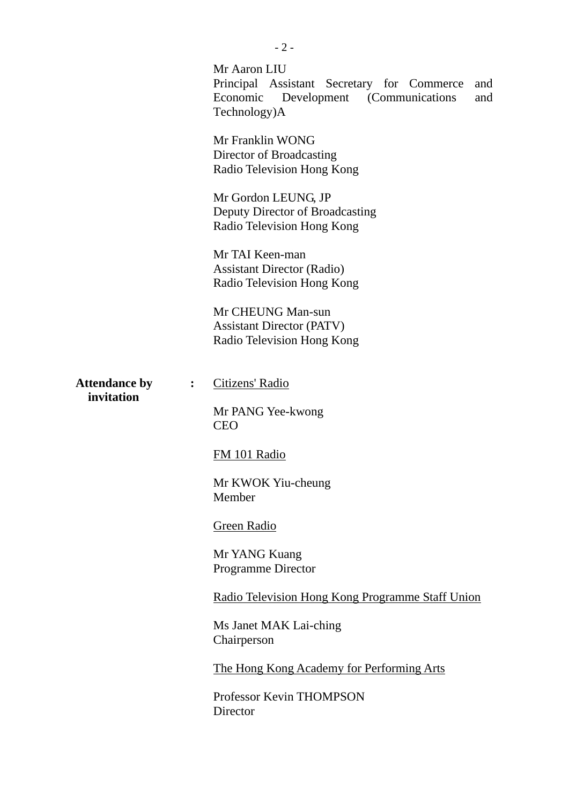|                                                      | Mr Aaron LIU<br>Principal Assistant Secretary for Commerce<br>and<br>Economic<br>Development (Communications)<br>and<br>Technology)A |
|------------------------------------------------------|--------------------------------------------------------------------------------------------------------------------------------------|
|                                                      | Mr Franklin WONG<br>Director of Broadcasting<br>Radio Television Hong Kong                                                           |
|                                                      | Mr Gordon LEUNG, JP<br>Deputy Director of Broadcasting<br>Radio Television Hong Kong                                                 |
|                                                      | Mr TAI Keen-man<br><b>Assistant Director (Radio)</b><br>Radio Television Hong Kong                                                   |
|                                                      | Mr CHEUNG Man-sun<br><b>Assistant Director (PATV)</b><br>Radio Television Hong Kong                                                  |
| <b>Attendance by</b><br>$\ddot{\cdot}$<br>invitation | Citizens' Radio                                                                                                                      |
|                                                      | Mr PANG Yee-kwong<br><b>CEO</b>                                                                                                      |
|                                                      | FM 101 Radio                                                                                                                         |
|                                                      | Mr KWOK Yiu-cheung<br>Member                                                                                                         |
|                                                      | <b>Green Radio</b>                                                                                                                   |
|                                                      | Mr YANG Kuang<br>Programme Director                                                                                                  |
|                                                      | Radio Television Hong Kong Programme Staff Union                                                                                     |
|                                                      | Ms Janet MAK Lai-ching<br>Chairperson                                                                                                |
|                                                      | The Hong Kong Academy for Performing Arts                                                                                            |
|                                                      | Professor Kevin THOMPSON<br>Director                                                                                                 |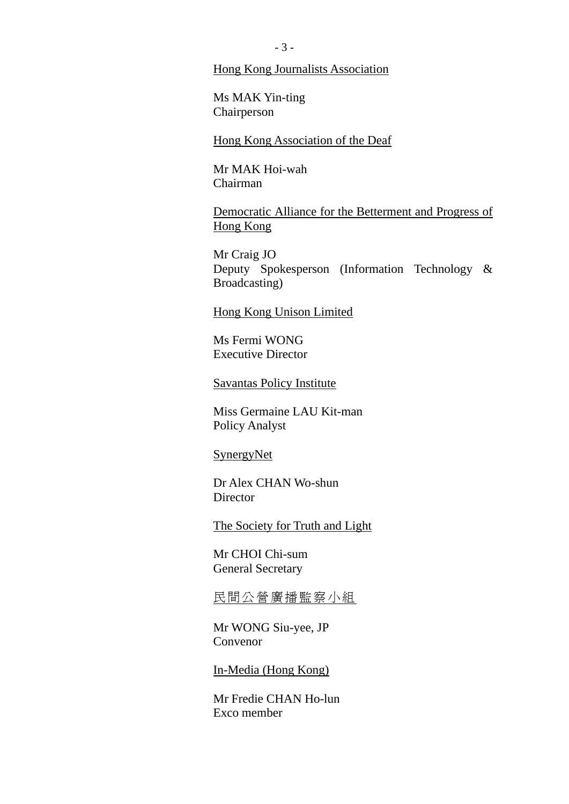#### Hong Kong Journalists Association

Ms MAK Yin-ting Chairperson

Hong Kong Association of the Deaf

Mr MAK Hoi-wah Chairman

Democratic Alliance for the Betterment and Progress of Hong Kong

Mr Craig JO Deputy Spokesperson (Information Technology & Broadcasting)

Hong Kong Unison Limited

Ms Fermi WONG Executive Director

Savantas Policy Institute

Miss Germaine LAU Kit-man Policy Analyst

#### SynergyNet

Dr Alex CHAN Wo-shun **Director** 

The Society for Truth and Light

Mr CHOI Chi-sum General Secretary

民間公營廣播監察小組

Mr WONG Siu-yee, JP Convenor

In-Media (Hong Kong)

Mr Fredie CHAN Ho-lun Exco member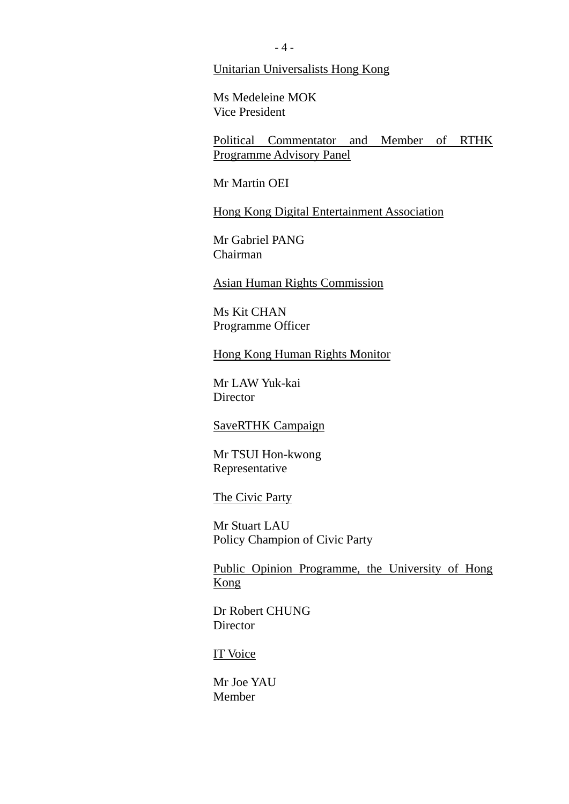Unitarian Universalists Hong Kong

Ms Medeleine MOK Vice President

Political Commentator and Member of RTHK Programme Advisory Panel

Mr Martin OEI

Hong Kong Digital Entertainment Association

Mr Gabriel PANG Chairman

Asian Human Rights Commission

Ms Kit CHAN Programme Officer

Hong Kong Human Rights Monitor

Mr LAW Yuk-kai **Director** 

SaveRTHK Campaign

Mr TSUI Hon-kwong Representative

The Civic Party

Mr Stuart LAU Policy Champion of Civic Party

Public Opinion Programme, the University of Hong Kong

Dr Robert CHUNG Director

IT Voice

Mr Joe YAU Member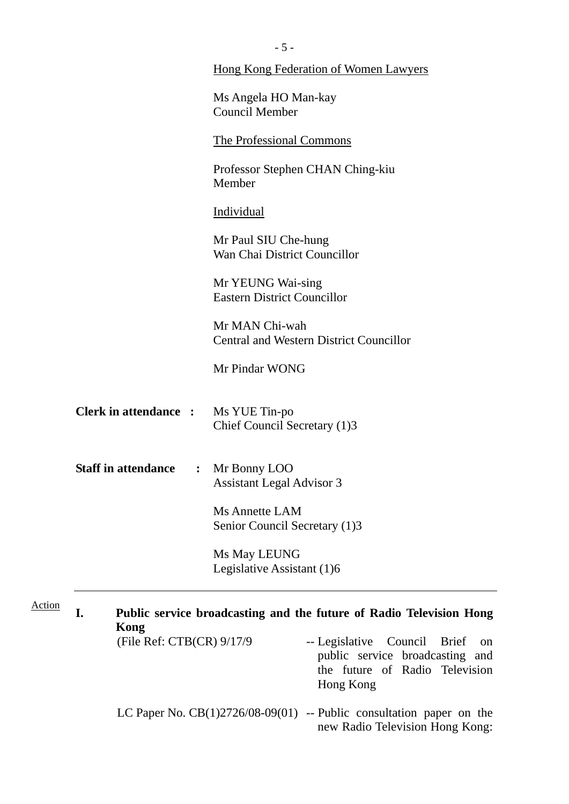|               |                              | Hong Kong Federation of Women Lawyers                                                                                          |
|---------------|------------------------------|--------------------------------------------------------------------------------------------------------------------------------|
|               |                              | Ms Angela HO Man-kay<br><b>Council Member</b>                                                                                  |
|               |                              | The Professional Commons                                                                                                       |
|               |                              | Professor Stephen CHAN Ching-kiu<br>Member                                                                                     |
|               |                              | Individual                                                                                                                     |
|               |                              | Mr Paul SIU Che-hung<br>Wan Chai District Councillor                                                                           |
|               |                              | Mr YEUNG Wai-sing<br><b>Eastern District Councillor</b>                                                                        |
|               |                              | Mr MAN Chi-wah<br><b>Central and Western District Councillor</b>                                                               |
|               |                              | Mr Pindar WONG                                                                                                                 |
|               | <b>Clerk in attendance :</b> | Ms YUE Tin-po<br>Chief Council Secretary (1)3                                                                                  |
|               | <b>Staff in attendance</b>   | : Mr Bonny LOO<br><b>Assistant Legal Advisor 3</b>                                                                             |
|               |                              | <b>Ms Annette LAM</b><br>Senior Council Secretary (1)3                                                                         |
|               |                              | Ms May LEUNG<br>Legislative Assistant (1)6                                                                                     |
| <b>Action</b> | I.<br>Kong                   | Public service broadcasting and the future of Radio Television Hong                                                            |
|               | (File Ref: CTB(CR) 9/17/9    | -- Legislative Council<br><b>Brief</b><br>on<br>public service broadcasting and<br>the future of Radio Television<br>Hong Kong |
|               |                              | LC Paper No. $CB(1)2726/08-09(01)$ -- Public consultation paper on the<br>new Radio Television Hong Kong:                      |

 $\overline{\phantom{0}}$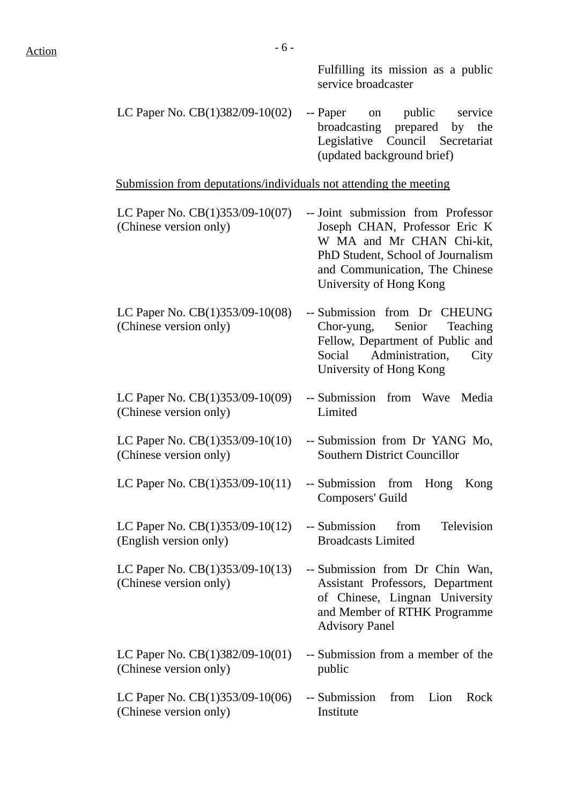Fulfilling its mission as a public service broadcaster

LC Paper No.  $CB(1)382/09-10(02)$  -- Paper on public service broadcasting prepared by the Legislative Council Secretariat (updated background brief)

Submission from deputations/individuals not attending the meeting

- LC Paper No. CB(1)353/09-10(07) (Chinese version only) -- Joint submission from Professor Joseph CHAN, Professor Eric K W MA and Mr CHAN Chi-kit, PhD Student, School of Journalism and Communication, The Chinese University of Hong Kong
- LC Paper No. CB(1)353/09-10(08) (Chinese version only) -- Submission from Dr CHEUNG Chor-yung, Senior Teaching Fellow, Department of Public and Social Administration, City University of Hong Kong
- LC Paper No. CB(1)353/09-10(09) (Chinese version only) -- Submission from Wave Media Limited

Composers' Guild

Broadcasts Limited

Advisory Panel

public

-- Submission from Television

-- Submission from Dr Chin Wan, Assistant Professors, Department of Chinese, Lingnan University and Member of RTHK Programme

-- Submission from a member of the

- LC Paper No. CB(1)353/09-10(10) (Chinese version only) -- Submission from Dr YANG Mo, Southern District Councillor
- LC Paper No.  $CB(1)353/09-10(11)$  -- Submission from Hong Kong
- LC Paper No. CB(1)353/09-10(12) (English version only)
- LC Paper No. CB(1)353/09-10(13) (Chinese version only)
- LC Paper No. CB(1)382/09-10(01) (Chinese version only)
- LC Paper No. CB(1)353/09-10(06) (Chinese version only) -- Submission from Lion Rock Institute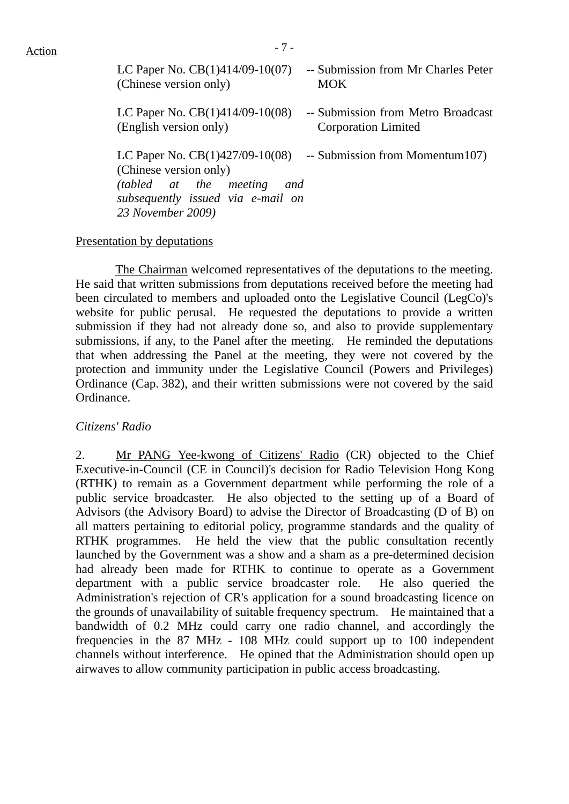| LC Paper No. $CB(1)414/09-10(07)$                                                                                                                   | -- Submission from Mr Charles Peter |
|-----------------------------------------------------------------------------------------------------------------------------------------------------|-------------------------------------|
| (Chinese version only)                                                                                                                              | <b>MOK</b>                          |
| LC Paper No. $CB(1)414/09-10(08)$                                                                                                                   | -- Submission from Metro Broadcast  |
| (English version only)                                                                                                                              | <b>Corporation Limited</b>          |
| LC Paper No. $CB(1)427/09-10(08)$<br>(Chinese version only)<br>(tabled at the meeting and<br>subsequently issued via e-mail on<br>23 November 2009) | -- Submission from Momentum 107)    |

#### Presentation by deputations

 The Chairman welcomed representatives of the deputations to the meeting. He said that written submissions from deputations received before the meeting had been circulated to members and uploaded onto the Legislative Council (LegCo)'s website for public perusal. He requested the deputations to provide a written submission if they had not already done so, and also to provide supplementary submissions, if any, to the Panel after the meeting. He reminded the deputations that when addressing the Panel at the meeting, they were not covered by the protection and immunity under the Legislative Council (Powers and Privileges) Ordinance (Cap. 382), and their written submissions were not covered by the said Ordinance.

#### *Citizens' Radio*

2. Mr PANG Yee-kwong of Citizens' Radio (CR) objected to the Chief Executive-in-Council (CE in Council)'s decision for Radio Television Hong Kong (RTHK) to remain as a Government department while performing the role of a public service broadcaster. He also objected to the setting up of a Board of Advisors (the Advisory Board) to advise the Director of Broadcasting (D of B) on all matters pertaining to editorial policy, programme standards and the quality of RTHK programmes. He held the view that the public consultation recently launched by the Government was a show and a sham as a pre-determined decision had already been made for RTHK to continue to operate as a Government department with a public service broadcaster role. He also queried the Administration's rejection of CR's application for a sound broadcasting licence on the grounds of unavailability of suitable frequency spectrum. He maintained that a bandwidth of 0.2 MHz could carry one radio channel, and accordingly the frequencies in the 87 MHz - 108 MHz could support up to 100 independent channels without interference. He opined that the Administration should open up airwaves to allow community participation in public access broadcasting.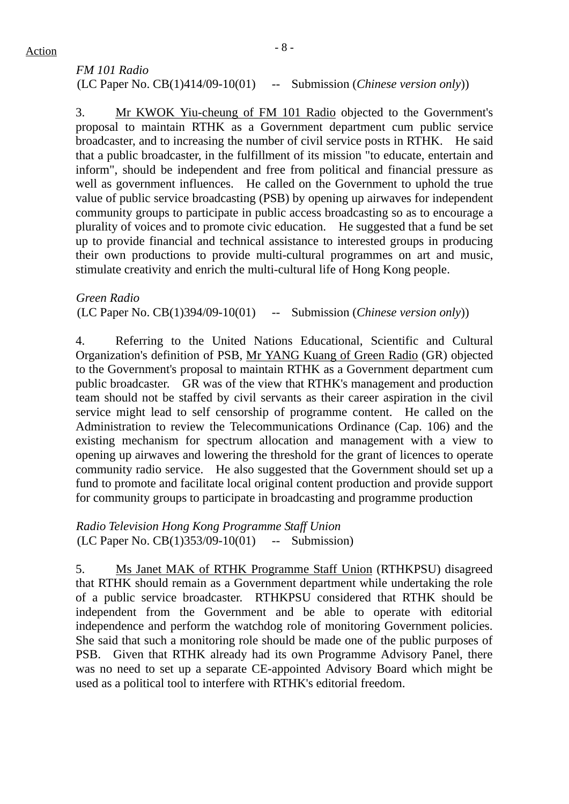# *FM 101 Radio* (LC Paper No. CB(1)414/09-10(01) -- Submission (*Chinese version only*))

3. Mr KWOK Yiu-cheung of FM 101 Radio objected to the Government's proposal to maintain RTHK as a Government department cum public service broadcaster, and to increasing the number of civil service posts in RTHK. He said that a public broadcaster, in the fulfillment of its mission "to educate, entertain and inform", should be independent and free from political and financial pressure as well as government influences. He called on the Government to uphold the true value of public service broadcasting (PSB) by opening up airwaves for independent community groups to participate in public access broadcasting so as to encourage a plurality of voices and to promote civic education. He suggested that a fund be set up to provide financial and technical assistance to interested groups in producing their own productions to provide multi-cultural programmes on art and music, stimulate creativity and enrich the multi-cultural life of Hong Kong people.

*Green Radio*  (LC Paper No. CB(1)394/09-10(01) -- Submission (*Chinese version only*))

4. Referring to the United Nations Educational, Scientific and Cultural Organization's definition of PSB, Mr YANG Kuang of Green Radio (GR) objected to the Government's proposal to maintain RTHK as a Government department cum public broadcaster. GR was of the view that RTHK's management and production team should not be staffed by civil servants as their career aspiration in the civil service might lead to self censorship of programme content. He called on the Administration to review the Telecommunications Ordinance (Cap. 106) and the existing mechanism for spectrum allocation and management with a view to opening up airwaves and lowering the threshold for the grant of licences to operate community radio service. He also suggested that the Government should set up a fund to promote and facilitate local original content production and provide support for community groups to participate in broadcasting and programme production

*Radio Television Hong Kong Programme Staff Union*  (LC Paper No. CB(1)353/09-10(01) -- Submission)

5. Ms Janet MAK of RTHK Programme Staff Union (RTHKPSU) disagreed that RTHK should remain as a Government department while undertaking the role of a public service broadcaster. RTHKPSU considered that RTHK should be independent from the Government and be able to operate with editorial independence and perform the watchdog role of monitoring Government policies. She said that such a monitoring role should be made one of the public purposes of PSB. Given that RTHK already had its own Programme Advisory Panel, there was no need to set up a separate CE-appointed Advisory Board which might be used as a political tool to interfere with RTHK's editorial freedom.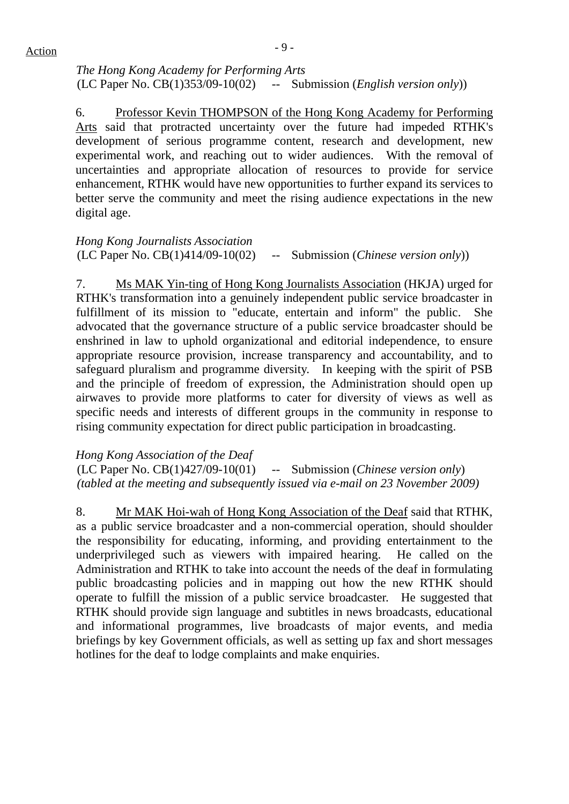*The Hong Kong Academy for Performing Arts*  (LC Paper No. CB(1)353/09-10(02) -- Submission (*English version only*))

6. Professor Kevin THOMPSON of the Hong Kong Academy for Performing Arts said that protracted uncertainty over the future had impeded RTHK's development of serious programme content, research and development, new experimental work, and reaching out to wider audiences. With the removal of uncertainties and appropriate allocation of resources to provide for service enhancement, RTHK would have new opportunities to further expand its services to better serve the community and meet the rising audience expectations in the new digital age.

*Hong Kong Journalists Association*  (LC Paper No. CB(1)414/09-10(02) -- Submission (*Chinese version only*))

7. Ms MAK Yin-ting of Hong Kong Journalists Association (HKJA) urged for RTHK's transformation into a genuinely independent public service broadcaster in fulfillment of its mission to "educate, entertain and inform" the public. She advocated that the governance structure of a public service broadcaster should be enshrined in law to uphold organizational and editorial independence, to ensure appropriate resource provision, increase transparency and accountability, and to safeguard pluralism and programme diversity. In keeping with the spirit of PSB and the principle of freedom of expression, the Administration should open up airwaves to provide more platforms to cater for diversity of views as well as specific needs and interests of different groups in the community in response to rising community expectation for direct public participation in broadcasting.

*Hong Kong Association of the Deaf*  (LC Paper No. CB(1)427/09-10(01) -- Submission (*Chinese version only*) *(tabled at the meeting and subsequently issued via e-mail on 23 November 2009)*

8. Mr MAK Hoi-wah of Hong Kong Association of the Deaf said that RTHK, as a public service broadcaster and a non-commercial operation, should shoulder the responsibility for educating, informing, and providing entertainment to the underprivileged such as viewers with impaired hearing. He called on the Administration and RTHK to take into account the needs of the deaf in formulating public broadcasting policies and in mapping out how the new RTHK should operate to fulfill the mission of a public service broadcaster. He suggested that RTHK should provide sign language and subtitles in news broadcasts, educational and informational programmes, live broadcasts of major events, and media briefings by key Government officials, as well as setting up fax and short messages hotlines for the deaf to lodge complaints and make enquiries.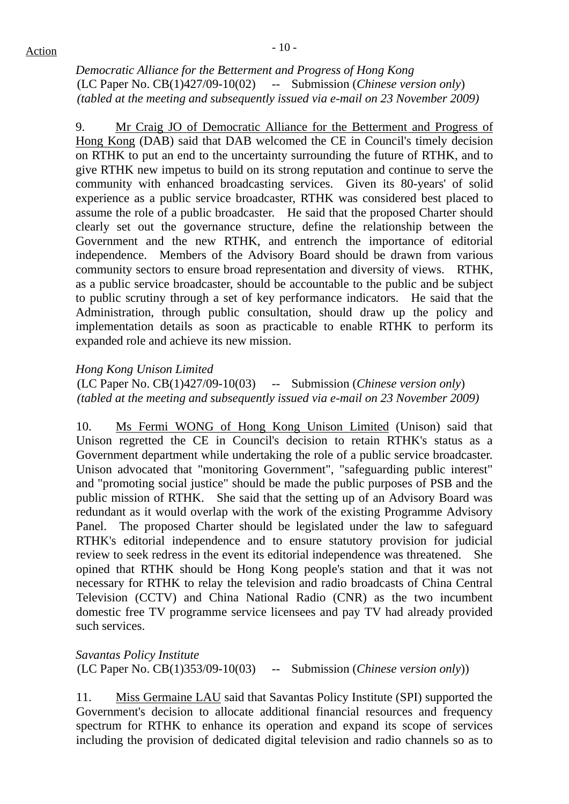*Democratic Alliance for the Betterment and Progress of Hong Kong*  (LC Paper No. CB(1)427/09-10(02) -- Submission (*Chinese version only*) *(tabled at the meeting and subsequently issued via e-mail on 23 November 2009)*

9. Mr Craig JO of Democratic Alliance for the Betterment and Progress of Hong Kong (DAB) said that DAB welcomed the CE in Council's timely decision on RTHK to put an end to the uncertainty surrounding the future of RTHK, and to give RTHK new impetus to build on its strong reputation and continue to serve the community with enhanced broadcasting services. Given its 80-years' of solid experience as a public service broadcaster, RTHK was considered best placed to assume the role of a public broadcaster. He said that the proposed Charter should clearly set out the governance structure, define the relationship between the Government and the new RTHK, and entrench the importance of editorial independence. Members of the Advisory Board should be drawn from various community sectors to ensure broad representation and diversity of views. RTHK, as a public service broadcaster, should be accountable to the public and be subject to public scrutiny through a set of key performance indicators. He said that the Administration, through public consultation, should draw up the policy and implementation details as soon as practicable to enable RTHK to perform its expanded role and achieve its new mission.

#### *Hong Kong Unison Limited*

(LC Paper No. CB(1)427/09-10(03) -- Submission (*Chinese version only*) *(tabled at the meeting and subsequently issued via e-mail on 23 November 2009)*

10. Ms Fermi WONG of Hong Kong Unison Limited (Unison) said that Unison regretted the CE in Council's decision to retain RTHK's status as a Government department while undertaking the role of a public service broadcaster. Unison advocated that "monitoring Government", "safeguarding public interest" and "promoting social justice" should be made the public purposes of PSB and the public mission of RTHK. She said that the setting up of an Advisory Board was redundant as it would overlap with the work of the existing Programme Advisory Panel. The proposed Charter should be legislated under the law to safeguard RTHK's editorial independence and to ensure statutory provision for judicial review to seek redress in the event its editorial independence was threatened. She opined that RTHK should be Hong Kong people's station and that it was not necessary for RTHK to relay the television and radio broadcasts of China Central Television (CCTV) and China National Radio (CNR) as the two incumbent domestic free TV programme service licensees and pay TV had already provided such services.

*Savantas Policy Institute*  (LC Paper No. CB(1)353/09-10(03) -- Submission (*Chinese version only*))

11. Miss Germaine LAU said that Savantas Policy Institute (SPI) supported the Government's decision to allocate additional financial resources and frequency spectrum for RTHK to enhance its operation and expand its scope of services including the provision of dedicated digital television and radio channels so as to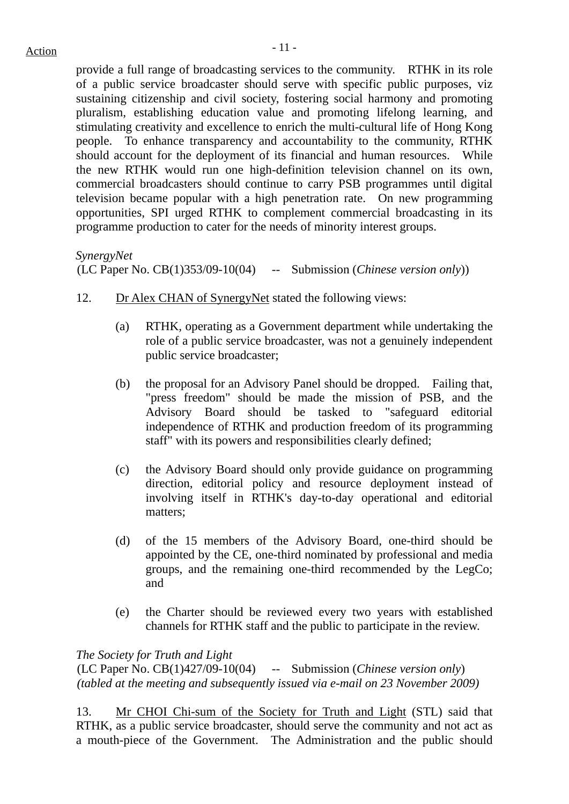provide a full range of broadcasting services to the community. RTHK in its role of a public service broadcaster should serve with specific public purposes, viz sustaining citizenship and civil society, fostering social harmony and promoting pluralism, establishing education value and promoting lifelong learning, and stimulating creativity and excellence to enrich the multi-cultural life of Hong Kong people. To enhance transparency and accountability to the community, RTHK should account for the deployment of its financial and human resources. While the new RTHK would run one high-definition television channel on its own, commercial broadcasters should continue to carry PSB programmes until digital television became popular with a high penetration rate. On new programming opportunities, SPI urged RTHK to complement commercial broadcasting in its programme production to cater for the needs of minority interest groups.

*SynergyNet*  (LC Paper No. CB(1)353/09-10(04) -- Submission (*Chinese version only*))

- 12. Dr Alex CHAN of SynergyNet stated the following views:
	- (a) RTHK, operating as a Government department while undertaking the role of a public service broadcaster, was not a genuinely independent public service broadcaster;
	- (b) the proposal for an Advisory Panel should be dropped. Failing that, "press freedom" should be made the mission of PSB, and the Advisory Board should be tasked to "safeguard editorial independence of RTHK and production freedom of its programming staff" with its powers and responsibilities clearly defined;
	- (c) the Advisory Board should only provide guidance on programming direction, editorial policy and resource deployment instead of involving itself in RTHK's day-to-day operational and editorial matters;
	- (d) of the 15 members of the Advisory Board, one-third should be appointed by the CE, one-third nominated by professional and media groups, and the remaining one-third recommended by the LegCo; and
	- (e) the Charter should be reviewed every two years with established channels for RTHK staff and the public to participate in the review.

*The Society for Truth and Light* 

(LC Paper No. CB(1)427/09-10(04) -- Submission (*Chinese version only*) *(tabled at the meeting and subsequently issued via e-mail on 23 November 2009)*

13. Mr CHOI Chi-sum of the Society for Truth and Light (STL) said that RTHK, as a public service broadcaster, should serve the community and not act as a mouth-piece of the Government. The Administration and the public should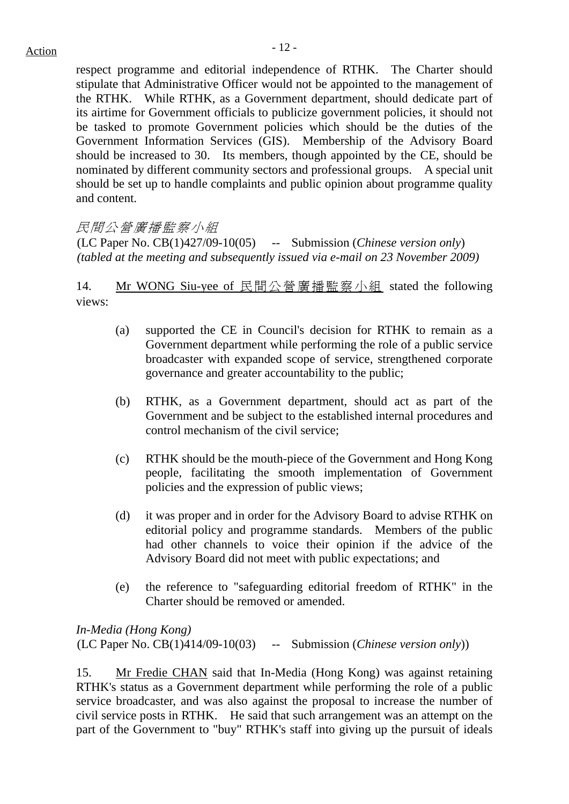respect programme and editorial independence of RTHK. The Charter should stipulate that Administrative Officer would not be appointed to the management of the RTHK. While RTHK, as a Government department, should dedicate part of its airtime for Government officials to publicize government policies, it should not be tasked to promote Government policies which should be the duties of the Government Information Services (GIS). Membership of the Advisory Board should be increased to 30. Its members, though appointed by the CE, should be nominated by different community sectors and professional groups. A special unit should be set up to handle complaints and public opinion about programme quality and content.

# 民間公營廣播監察小組

(LC Paper No. CB(1)427/09-10(05) -- Submission (*Chinese version only*) *(tabled at the meeting and subsequently issued via e-mail on 23 November 2009)*

14. Mr WONG Siu-yee of 民間公營廣播監察小組 stated the following views:

- (a) supported the CE in Council's decision for RTHK to remain as a Government department while performing the role of a public service broadcaster with expanded scope of service, strengthened corporate governance and greater accountability to the public;
- (b) RTHK, as a Government department, should act as part of the Government and be subject to the established internal procedures and control mechanism of the civil service;
- (c) RTHK should be the mouth-piece of the Government and Hong Kong people, facilitating the smooth implementation of Government policies and the expression of public views;
- (d) it was proper and in order for the Advisory Board to advise RTHK on editorial policy and programme standards. Members of the public had other channels to voice their opinion if the advice of the Advisory Board did not meet with public expectations; and
- (e) the reference to "safeguarding editorial freedom of RTHK" in the Charter should be removed or amended.

*In-Media (Hong Kong)*  (LC Paper No. CB(1)414/09-10(03) -- Submission (*Chinese version only*))

15. Mr Fredie CHAN said that In-Media (Hong Kong) was against retaining RTHK's status as a Government department while performing the role of a public service broadcaster, and was also against the proposal to increase the number of civil service posts in RTHK. He said that such arrangement was an attempt on the part of the Government to "buy" RTHK's staff into giving up the pursuit of ideals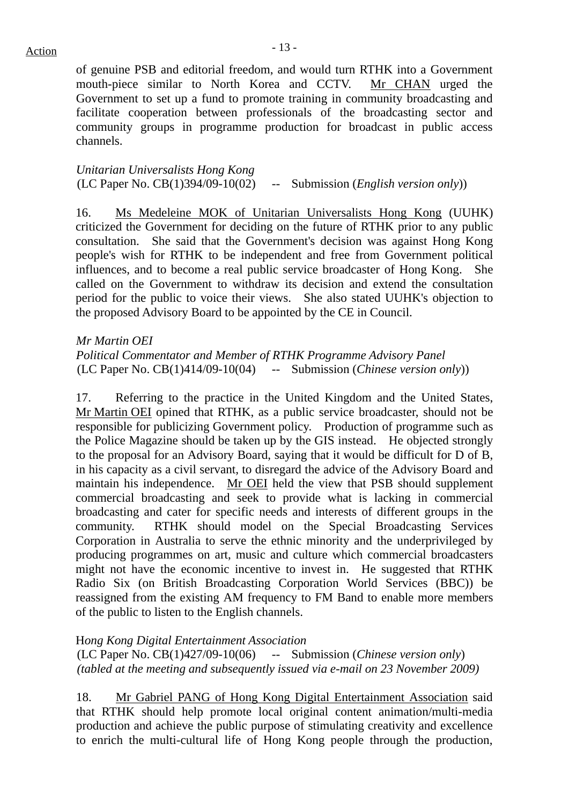of genuine PSB and editorial freedom, and would turn RTHK into a Government mouth-piece similar to North Korea and CCTV. Mr CHAN urged the Government to set up a fund to promote training in community broadcasting and facilitate cooperation between professionals of the broadcasting sector and community groups in programme production for broadcast in public access channels.

*Unitarian Universalists Hong Kong*  (LC Paper No. CB(1)394/09-10(02) -- Submission (*English version only*))

16. Ms Medeleine MOK of Unitarian Universalists Hong Kong (UUHK) criticized the Government for deciding on the future of RTHK prior to any public consultation. She said that the Government's decision was against Hong Kong people's wish for RTHK to be independent and free from Government political influences, and to become a real public service broadcaster of Hong Kong. She called on the Government to withdraw its decision and extend the consultation period for the public to voice their views. She also stated UUHK's objection to the proposed Advisory Board to be appointed by the CE in Council.

#### *Mr Martin OEI*

*Political Commentator and Member of RTHK Programme Advisory Panel*  (LC Paper No. CB(1)414/09-10(04) -- Submission (*Chinese version only*))

17. Referring to the practice in the United Kingdom and the United States, Mr Martin OEI opined that RTHK, as a public service broadcaster, should not be responsible for publicizing Government policy. Production of programme such as the Police Magazine should be taken up by the GIS instead. He objected strongly to the proposal for an Advisory Board, saying that it would be difficult for D of B, in his capacity as a civil servant, to disregard the advice of the Advisory Board and maintain his independence. Mr OEI held the view that PSB should supplement commercial broadcasting and seek to provide what is lacking in commercial broadcasting and cater for specific needs and interests of different groups in the community. RTHK should model on the Special Broadcasting Services Corporation in Australia to serve the ethnic minority and the underprivileged by producing programmes on art, music and culture which commercial broadcasters might not have the economic incentive to invest in. He suggested that RTHK Radio Six (on British Broadcasting Corporation World Services (BBC)) be reassigned from the existing AM frequency to FM Band to enable more members of the public to listen to the English channels.

#### H*ong Kong Digital Entertainment Association*

(LC Paper No. CB(1)427/09-10(06) -- Submission (*Chinese version only*) *(tabled at the meeting and subsequently issued via e-mail on 23 November 2009)*

18. Mr Gabriel PANG of Hong Kong Digital Entertainment Association said that RTHK should help promote local original content animation/multi-media production and achieve the public purpose of stimulating creativity and excellence to enrich the multi-cultural life of Hong Kong people through the production,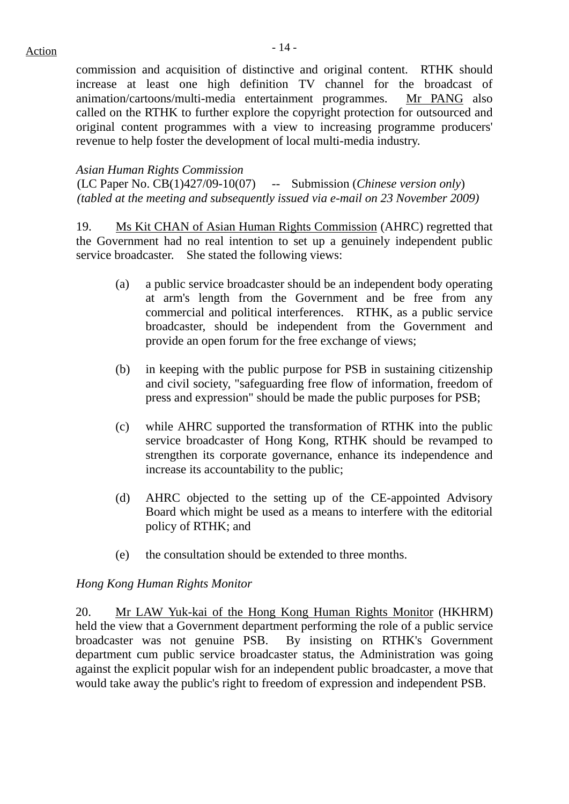commission and acquisition of distinctive and original content. RTHK should increase at least one high definition TV channel for the broadcast of animation/cartoons/multi-media entertainment programmes. Mr PANG also called on the RTHK to further explore the copyright protection for outsourced and original content programmes with a view to increasing programme producers' revenue to help foster the development of local multi-media industry.

#### *Asian Human Rights Commission*

(LC Paper No. CB(1)427/09-10(07) -- Submission (*Chinese version only*) *(tabled at the meeting and subsequently issued via e-mail on 23 November 2009)*

19. Ms Kit CHAN of Asian Human Rights Commission (AHRC) regretted that the Government had no real intention to set up a genuinely independent public service broadcaster. She stated the following views:

- (a) a public service broadcaster should be an independent body operating at arm's length from the Government and be free from any commercial and political interferences. RTHK, as a public service broadcaster, should be independent from the Government and provide an open forum for the free exchange of views;
- (b) in keeping with the public purpose for PSB in sustaining citizenship and civil society, "safeguarding free flow of information, freedom of press and expression" should be made the public purposes for PSB;
- (c) while AHRC supported the transformation of RTHK into the public service broadcaster of Hong Kong, RTHK should be revamped to strengthen its corporate governance, enhance its independence and increase its accountability to the public;
- (d) AHRC objected to the setting up of the CE-appointed Advisory Board which might be used as a means to interfere with the editorial policy of RTHK; and
- (e) the consultation should be extended to three months.

#### *Hong Kong Human Rights Monitor*

20. Mr LAW Yuk-kai of the Hong Kong Human Rights Monitor (HKHRM) held the view that a Government department performing the role of a public service broadcaster was not genuine PSB. By insisting on RTHK's Government department cum public service broadcaster status, the Administration was going against the explicit popular wish for an independent public broadcaster, a move that would take away the public's right to freedom of expression and independent PSB.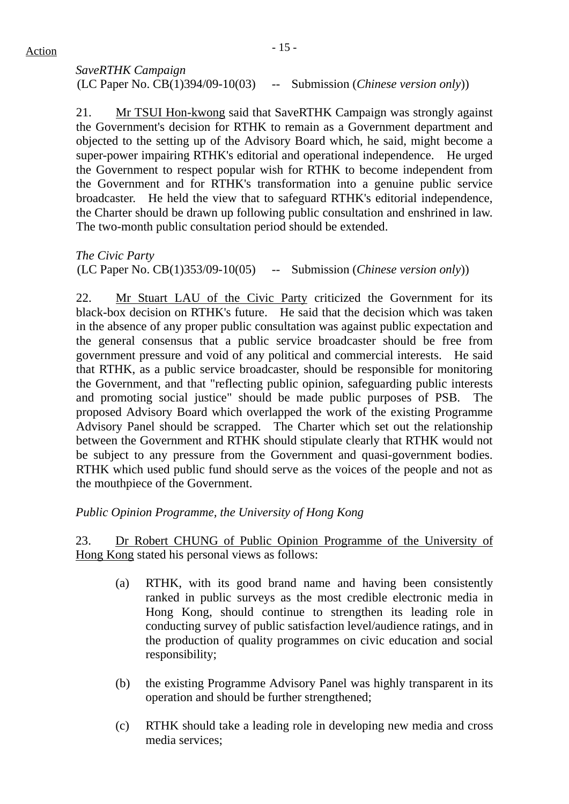# *SaveRTHK Campaign*  (LC Paper No. CB(1)394/09-10(03) -- Submission (*Chinese version only*))

21. Mr TSUI Hon-kwong said that SaveRTHK Campaign was strongly against the Government's decision for RTHK to remain as a Government department and objected to the setting up of the Advisory Board which, he said, might become a super-power impairing RTHK's editorial and operational independence. He urged the Government to respect popular wish for RTHK to become independent from the Government and for RTHK's transformation into a genuine public service broadcaster. He held the view that to safeguard RTHK's editorial independence, the Charter should be drawn up following public consultation and enshrined in law. The two-month public consultation period should be extended.

*The Civic Party*  (LC Paper No. CB(1)353/09-10(05) -- Submission (*Chinese version only*))

22. Mr Stuart LAU of the Civic Party criticized the Government for its black-box decision on RTHK's future. He said that the decision which was taken in the absence of any proper public consultation was against public expectation and the general consensus that a public service broadcaster should be free from government pressure and void of any political and commercial interests. He said that RTHK, as a public service broadcaster, should be responsible for monitoring the Government, and that "reflecting public opinion, safeguarding public interests and promoting social justice" should be made public purposes of PSB. The proposed Advisory Board which overlapped the work of the existing Programme Advisory Panel should be scrapped. The Charter which set out the relationship between the Government and RTHK should stipulate clearly that RTHK would not be subject to any pressure from the Government and quasi-government bodies. RTHK which used public fund should serve as the voices of the people and not as the mouthpiece of the Government.

# *Public Opinion Programme, the University of Hong Kong*

23. Dr Robert CHUNG of Public Opinion Programme of the University of Hong Kong stated his personal views as follows:

- (a) RTHK, with its good brand name and having been consistently ranked in public surveys as the most credible electronic media in Hong Kong, should continue to strengthen its leading role in conducting survey of public satisfaction level/audience ratings, and in the production of quality programmes on civic education and social responsibility;
- (b) the existing Programme Advisory Panel was highly transparent in its operation and should be further strengthened;
- (c) RTHK should take a leading role in developing new media and cross media services;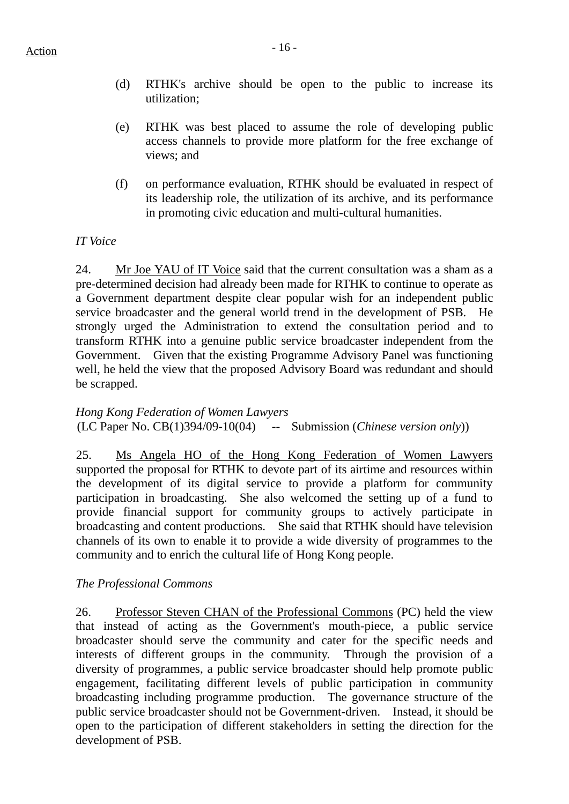- (d) RTHK's archive should be open to the public to increase its utilization;
- (e) RTHK was best placed to assume the role of developing public access channels to provide more platform for the free exchange of views; and
- (f) on performance evaluation, RTHK should be evaluated in respect of its leadership role, the utilization of its archive, and its performance in promoting civic education and multi-cultural humanities.

# *IT Voice*

24. Mr Joe YAU of IT Voice said that the current consultation was a sham as a pre-determined decision had already been made for RTHK to continue to operate as a Government department despite clear popular wish for an independent public service broadcaster and the general world trend in the development of PSB. He strongly urged the Administration to extend the consultation period and to transform RTHK into a genuine public service broadcaster independent from the Government. Given that the existing Programme Advisory Panel was functioning well, he held the view that the proposed Advisory Board was redundant and should be scrapped.

*Hong Kong Federation of Women Lawyers*  (LC Paper No. CB(1)394/09-10(04) -- Submission (*Chinese version only*))

25. Ms Angela HO of the Hong Kong Federation of Women Lawyers supported the proposal for RTHK to devote part of its airtime and resources within the development of its digital service to provide a platform for community participation in broadcasting. She also welcomed the setting up of a fund to provide financial support for community groups to actively participate in broadcasting and content productions. She said that RTHK should have television channels of its own to enable it to provide a wide diversity of programmes to the community and to enrich the cultural life of Hong Kong people.

# *The Professional Commons*

26. Professor Steven CHAN of the Professional Commons (PC) held the view that instead of acting as the Government's mouth-piece, a public service broadcaster should serve the community and cater for the specific needs and interests of different groups in the community. Through the provision of a diversity of programmes, a public service broadcaster should help promote public engagement, facilitating different levels of public participation in community broadcasting including programme production. The governance structure of the public service broadcaster should not be Government-driven. Instead, it should be open to the participation of different stakeholders in setting the direction for the development of PSB.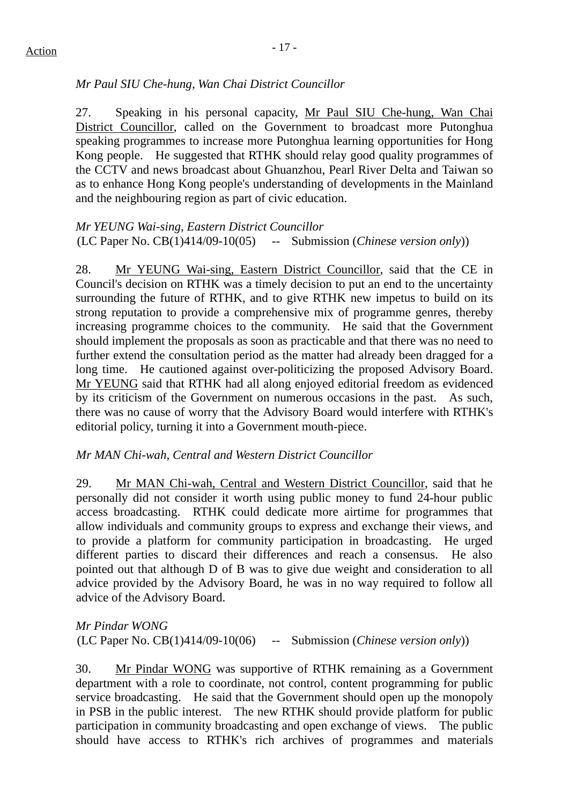# *Mr Paul SIU Che-hung, Wan Chai District Councillor*

27. Speaking in his personal capacity, Mr Paul SIU Che-hung, Wan Chai District Councillor, called on the Government to broadcast more Putonghua speaking programmes to increase more Putonghua learning opportunities for Hong Kong people. He suggested that RTHK should relay good quality programmes of the CCTV and news broadcast about Ghuanzhou, Pearl River Delta and Taiwan so as to enhance Hong Kong people's understanding of developments in the Mainland and the neighbouring region as part of civic education.

*Mr YEUNG Wai-sing, Eastern District Councillor*  (LC Paper No. CB(1)414/09-10(05) -- Submission (*Chinese version only*))

28. Mr YEUNG Wai-sing, Eastern District Councillor, said that the CE in Council's decision on RTHK was a timely decision to put an end to the uncertainty surrounding the future of RTHK, and to give RTHK new impetus to build on its strong reputation to provide a comprehensive mix of programme genres, thereby increasing programme choices to the community. He said that the Government should implement the proposals as soon as practicable and that there was no need to further extend the consultation period as the matter had already been dragged for a long time. He cautioned against over-politicizing the proposed Advisory Board. Mr YEUNG said that RTHK had all along enjoyed editorial freedom as evidenced by its criticism of the Government on numerous occasions in the past. As such, there was no cause of worry that the Advisory Board would interfere with RTHK's editorial policy, turning it into a Government mouth-piece.

# *Mr MAN Chi-wah, Central and Western District Councillor*

29. Mr MAN Chi-wah, Central and Western District Councillor, said that he personally did not consider it worth using public money to fund 24-hour public access broadcasting. RTHK could dedicate more airtime for programmes that allow individuals and community groups to express and exchange their views, and to provide a platform for community participation in broadcasting. He urged different parties to discard their differences and reach a consensus. He also pointed out that although D of B was to give due weight and consideration to all advice provided by the Advisory Board, he was in no way required to follow all advice of the Advisory Board.

*Mr Pindar WONG*  (LC Paper No. CB(1)414/09-10(06) -- Submission (*Chinese version only*))

30. Mr Pindar WONG was supportive of RTHK remaining as a Government department with a role to coordinate, not control, content programming for public service broadcasting. He said that the Government should open up the monopoly in PSB in the public interest. The new RTHK should provide platform for public participation in community broadcasting and open exchange of views. The public should have access to RTHK's rich archives of programmes and materials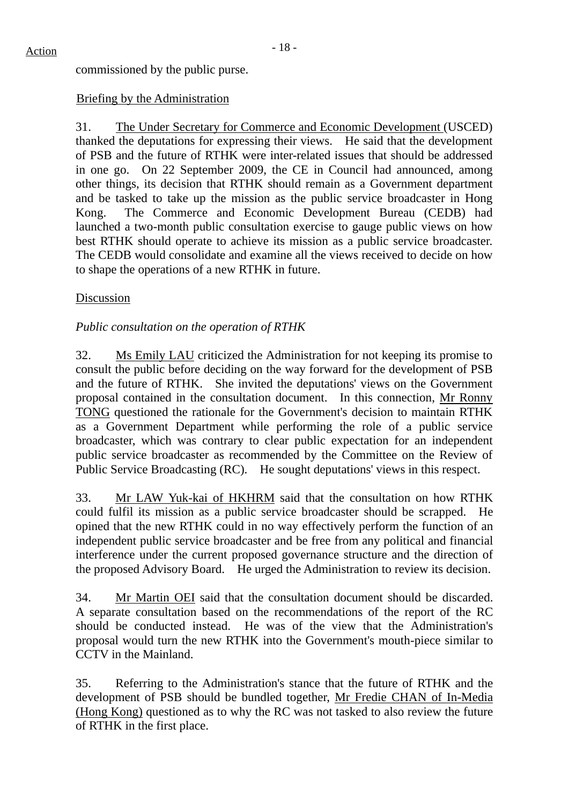commissioned by the public purse.

## Briefing by the Administration

31. The Under Secretary for Commerce and Economic Development (USCED) thanked the deputations for expressing their views. He said that the development of PSB and the future of RTHK were inter-related issues that should be addressed in one go. On 22 September 2009, the CE in Council had announced, among other things, its decision that RTHK should remain as a Government department and be tasked to take up the mission as the public service broadcaster in Hong Kong. The Commerce and Economic Development Bureau (CEDB) had launched a two-month public consultation exercise to gauge public views on how best RTHK should operate to achieve its mission as a public service broadcaster. The CEDB would consolidate and examine all the views received to decide on how to shape the operations of a new RTHK in future.

#### Discussion

# *Public consultation on the operation of RTHK*

32. Ms Emily LAU criticized the Administration for not keeping its promise to consult the public before deciding on the way forward for the development of PSB and the future of RTHK. She invited the deputations' views on the Government proposal contained in the consultation document. In this connection, Mr Ronny TONG questioned the rationale for the Government's decision to maintain RTHK as a Government Department while performing the role of a public service broadcaster, which was contrary to clear public expectation for an independent public service broadcaster as recommended by the Committee on the Review of Public Service Broadcasting (RC). He sought deputations' views in this respect.

33. Mr LAW Yuk-kai of HKHRM said that the consultation on how RTHK could fulfil its mission as a public service broadcaster should be scrapped. He opined that the new RTHK could in no way effectively perform the function of an independent public service broadcaster and be free from any political and financial interference under the current proposed governance structure and the direction of the proposed Advisory Board. He urged the Administration to review its decision.

34. Mr Martin OEI said that the consultation document should be discarded. A separate consultation based on the recommendations of the report of the RC should be conducted instead. He was of the view that the Administration's proposal would turn the new RTHK into the Government's mouth-piece similar to CCTV in the Mainland.

35. Referring to the Administration's stance that the future of RTHK and the development of PSB should be bundled together, Mr Fredie CHAN of In-Media (Hong Kong) questioned as to why the RC was not tasked to also review the future of RTHK in the first place.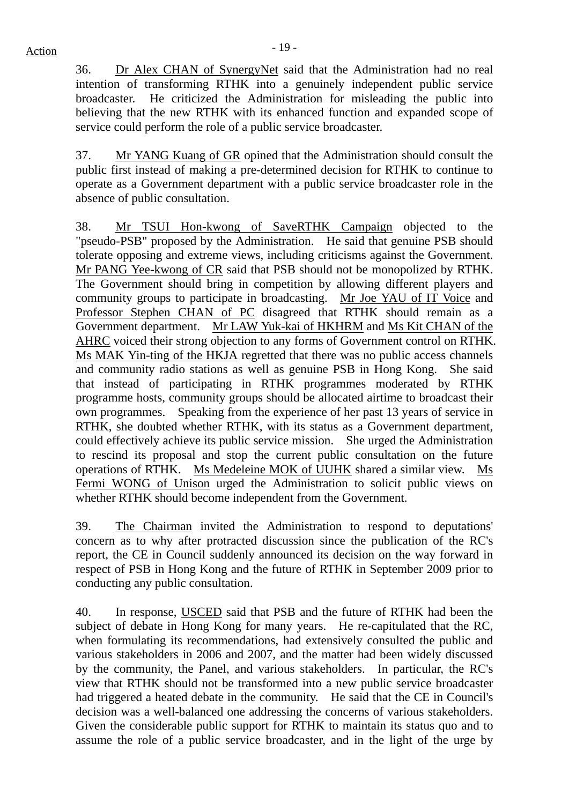36. Dr Alex CHAN of SynergyNet said that the Administration had no real intention of transforming RTHK into a genuinely independent public service broadcaster. He criticized the Administration for misleading the public into believing that the new RTHK with its enhanced function and expanded scope of service could perform the role of a public service broadcaster.

37. Mr YANG Kuang of GR opined that the Administration should consult the public first instead of making a pre-determined decision for RTHK to continue to operate as a Government department with a public service broadcaster role in the absence of public consultation.

38. Mr TSUI Hon-kwong of SaveRTHK Campaign objected to the "pseudo-PSB" proposed by the Administration. He said that genuine PSB should tolerate opposing and extreme views, including criticisms against the Government. Mr PANG Yee-kwong of CR said that PSB should not be monopolized by RTHK. The Government should bring in competition by allowing different players and community groups to participate in broadcasting. Mr Joe YAU of IT Voice and Professor Stephen CHAN of PC disagreed that RTHK should remain as a Government department. Mr LAW Yuk-kai of HKHRM and Ms Kit CHAN of the AHRC voiced their strong objection to any forms of Government control on RTHK. Ms MAK Yin-ting of the HKJA regretted that there was no public access channels and community radio stations as well as genuine PSB in Hong Kong. She said that instead of participating in RTHK programmes moderated by RTHK programme hosts, community groups should be allocated airtime to broadcast their own programmes. Speaking from the experience of her past 13 years of service in RTHK, she doubted whether RTHK, with its status as a Government department, could effectively achieve its public service mission. She urged the Administration to rescind its proposal and stop the current public consultation on the future operations of RTHK. Ms Medeleine MOK of UUHK shared a similar view. Ms Fermi WONG of Unison urged the Administration to solicit public views on whether RTHK should become independent from the Government.

39. The Chairman invited the Administration to respond to deputations' concern as to why after protracted discussion since the publication of the RC's report, the CE in Council suddenly announced its decision on the way forward in respect of PSB in Hong Kong and the future of RTHK in September 2009 prior to conducting any public consultation.

40. In response, USCED said that PSB and the future of RTHK had been the subject of debate in Hong Kong for many years. He re-capitulated that the RC, when formulating its recommendations, had extensively consulted the public and various stakeholders in 2006 and 2007, and the matter had been widely discussed by the community, the Panel, and various stakeholders. In particular, the RC's view that RTHK should not be transformed into a new public service broadcaster had triggered a heated debate in the community. He said that the CE in Council's decision was a well-balanced one addressing the concerns of various stakeholders. Given the considerable public support for RTHK to maintain its status quo and to assume the role of a public service broadcaster, and in the light of the urge by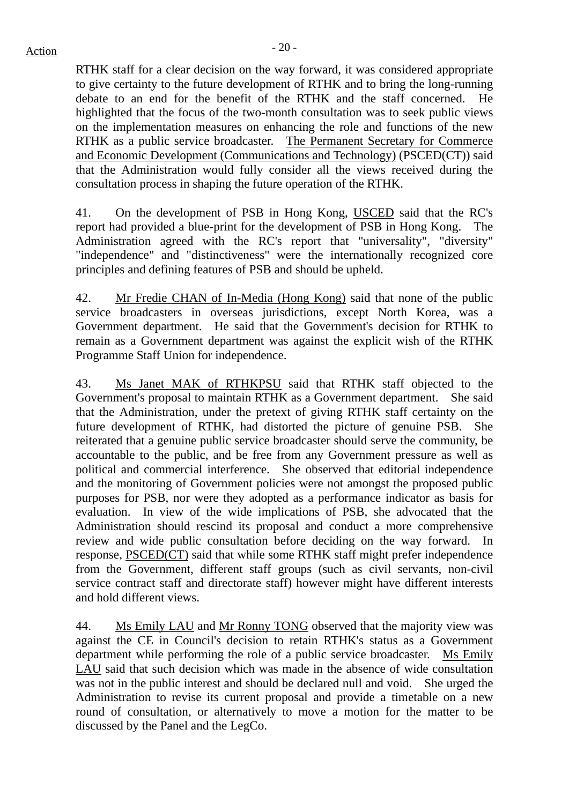RTHK staff for a clear decision on the way forward, it was considered appropriate to give certainty to the future development of RTHK and to bring the long-running debate to an end for the benefit of the RTHK and the staff concerned. He highlighted that the focus of the two-month consultation was to seek public views on the implementation measures on enhancing the role and functions of the new RTHK as a public service broadcaster. The Permanent Secretary for Commerce and Economic Development (Communications and Technology) (PSCED(CT)) said that the Administration would fully consider all the views received during the consultation process in shaping the future operation of the RTHK.

41. On the development of PSB in Hong Kong, USCED said that the RC's report had provided a blue-print for the development of PSB in Hong Kong. The Administration agreed with the RC's report that "universality", "diversity" "independence" and "distinctiveness" were the internationally recognized core principles and defining features of PSB and should be upheld.

42. Mr Fredie CHAN of In-Media (Hong Kong) said that none of the public service broadcasters in overseas jurisdictions, except North Korea, was a Government department. He said that the Government's decision for RTHK to remain as a Government department was against the explicit wish of the RTHK Programme Staff Union for independence.

43. Ms Janet MAK of RTHKPSU said that RTHK staff objected to the Government's proposal to maintain RTHK as a Government department. She said that the Administration, under the pretext of giving RTHK staff certainty on the future development of RTHK, had distorted the picture of genuine PSB. She reiterated that a genuine public service broadcaster should serve the community, be accountable to the public, and be free from any Government pressure as well as political and commercial interference. She observed that editorial independence and the monitoring of Government policies were not amongst the proposed public purposes for PSB, nor were they adopted as a performance indicator as basis for evaluation. In view of the wide implications of PSB, she advocated that the Administration should rescind its proposal and conduct a more comprehensive review and wide public consultation before deciding on the way forward. In response, PSCED(CT) said that while some RTHK staff might prefer independence from the Government, different staff groups (such as civil servants, non-civil service contract staff and directorate staff) however might have different interests and hold different views.

44. Ms Emily LAU and Mr Ronny TONG observed that the majority view was against the CE in Council's decision to retain RTHK's status as a Government department while performing the role of a public service broadcaster. Ms Emily LAU said that such decision which was made in the absence of wide consultation was not in the public interest and should be declared null and void. She urged the Administration to revise its current proposal and provide a timetable on a new round of consultation, or alternatively to move a motion for the matter to be discussed by the Panel and the LegCo.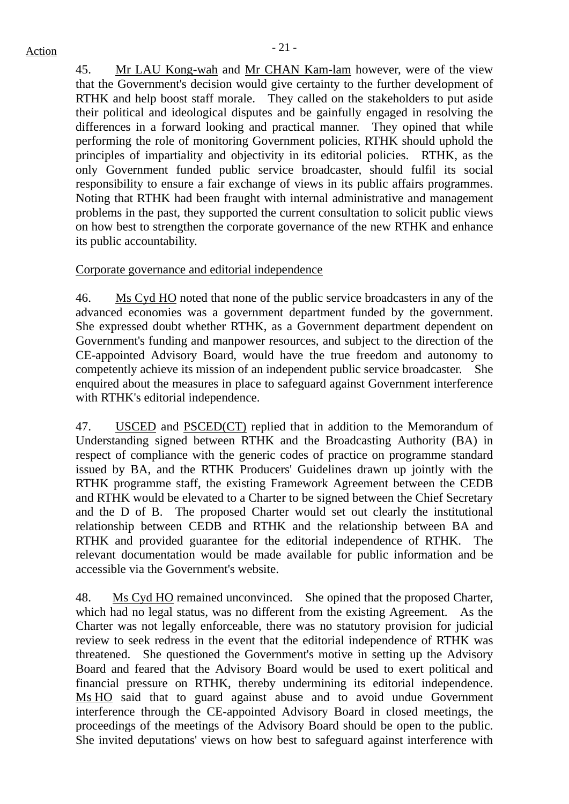# $Action$

45. Mr LAU Kong-wah and Mr CHAN Kam-lam however, were of the view that the Government's decision would give certainty to the further development of RTHK and help boost staff morale. They called on the stakeholders to put aside their political and ideological disputes and be gainfully engaged in resolving the differences in a forward looking and practical manner. They opined that while performing the role of monitoring Government policies, RTHK should uphold the principles of impartiality and objectivity in its editorial policies. RTHK, as the only Government funded public service broadcaster, should fulfil its social responsibility to ensure a fair exchange of views in its public affairs programmes. Noting that RTHK had been fraught with internal administrative and management problems in the past, they supported the current consultation to solicit public views on how best to strengthen the corporate governance of the new RTHK and enhance its public accountability.

Corporate governance and editorial independence

46. Ms Cyd HO noted that none of the public service broadcasters in any of the advanced economies was a government department funded by the government. She expressed doubt whether RTHK, as a Government department dependent on Government's funding and manpower resources, and subject to the direction of the CE-appointed Advisory Board, would have the true freedom and autonomy to competently achieve its mission of an independent public service broadcaster. She enquired about the measures in place to safeguard against Government interference with RTHK's editorial independence.

47. USCED and PSCED(CT) replied that in addition to the Memorandum of Understanding signed between RTHK and the Broadcasting Authority (BA) in respect of compliance with the generic codes of practice on programme standard issued by BA, and the RTHK Producers' Guidelines drawn up jointly with the RTHK programme staff, the existing Framework Agreement between the CEDB and RTHK would be elevated to a Charter to be signed between the Chief Secretary and the D of B. The proposed Charter would set out clearly the institutional relationship between CEDB and RTHK and the relationship between BA and RTHK and provided guarantee for the editorial independence of RTHK. The relevant documentation would be made available for public information and be accessible via the Government's website.

48. Ms Cyd HO remained unconvinced. She opined that the proposed Charter, which had no legal status, was no different from the existing Agreement. As the Charter was not legally enforceable, there was no statutory provision for judicial review to seek redress in the event that the editorial independence of RTHK was threatened. She questioned the Government's motive in setting up the Advisory Board and feared that the Advisory Board would be used to exert political and financial pressure on RTHK, thereby undermining its editorial independence. Ms HO said that to guard against abuse and to avoid undue Government interference through the CE-appointed Advisory Board in closed meetings, the proceedings of the meetings of the Advisory Board should be open to the public. She invited deputations' views on how best to safeguard against interference with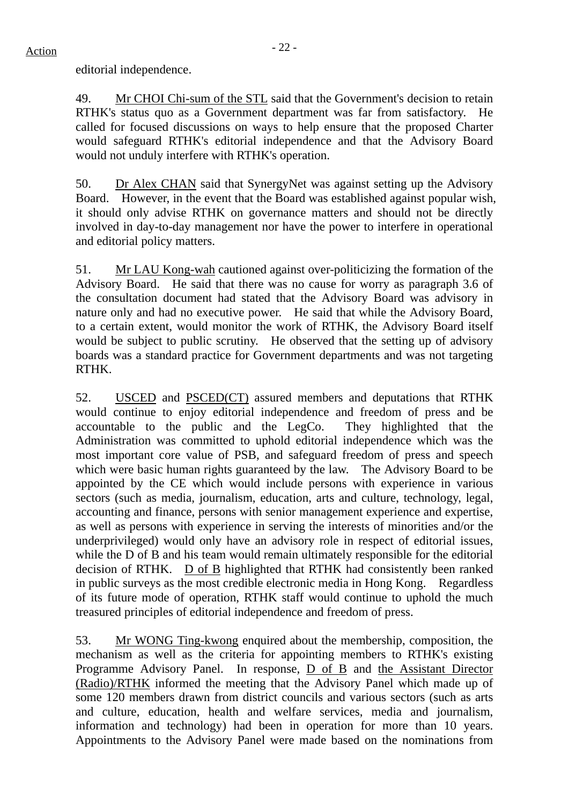49. Mr CHOI Chi-sum of the STL said that the Government's decision to retain RTHK's status quo as a Government department was far from satisfactory. He called for focused discussions on ways to help ensure that the proposed Charter would safeguard RTHK's editorial independence and that the Advisory Board would not unduly interfere with RTHK's operation.

50. Dr Alex CHAN said that SynergyNet was against setting up the Advisory Board. However, in the event that the Board was established against popular wish, it should only advise RTHK on governance matters and should not be directly involved in day-to-day management nor have the power to interfere in operational and editorial policy matters.

51. Mr LAU Kong-wah cautioned against over-politicizing the formation of the Advisory Board. He said that there was no cause for worry as paragraph 3.6 of the consultation document had stated that the Advisory Board was advisory in nature only and had no executive power. He said that while the Advisory Board, to a certain extent, would monitor the work of RTHK, the Advisory Board itself would be subject to public scrutiny. He observed that the setting up of advisory boards was a standard practice for Government departments and was not targeting RTHK.

52. USCED and PSCED(CT) assured members and deputations that RTHK would continue to enjoy editorial independence and freedom of press and be accountable to the public and the LegCo. They highlighted that the Administration was committed to uphold editorial independence which was the most important core value of PSB, and safeguard freedom of press and speech which were basic human rights guaranteed by the law. The Advisory Board to be appointed by the CE which would include persons with experience in various sectors (such as media, journalism, education, arts and culture, technology, legal, accounting and finance, persons with senior management experience and expertise, as well as persons with experience in serving the interests of minorities and/or the underprivileged) would only have an advisory role in respect of editorial issues, while the D of B and his team would remain ultimately responsible for the editorial decision of RTHK. D of B highlighted that RTHK had consistently been ranked in public surveys as the most credible electronic media in Hong Kong. Regardless of its future mode of operation, RTHK staff would continue to uphold the much treasured principles of editorial independence and freedom of press.

53. Mr WONG Ting-kwong enquired about the membership, composition, the mechanism as well as the criteria for appointing members to RTHK's existing Programme Advisory Panel. In response, D of B and the Assistant Director (Radio)/RTHK informed the meeting that the Advisory Panel which made up of some 120 members drawn from district councils and various sectors (such as arts and culture, education, health and welfare services, media and journalism, information and technology) had been in operation for more than 10 years. Appointments to the Advisory Panel were made based on the nominations from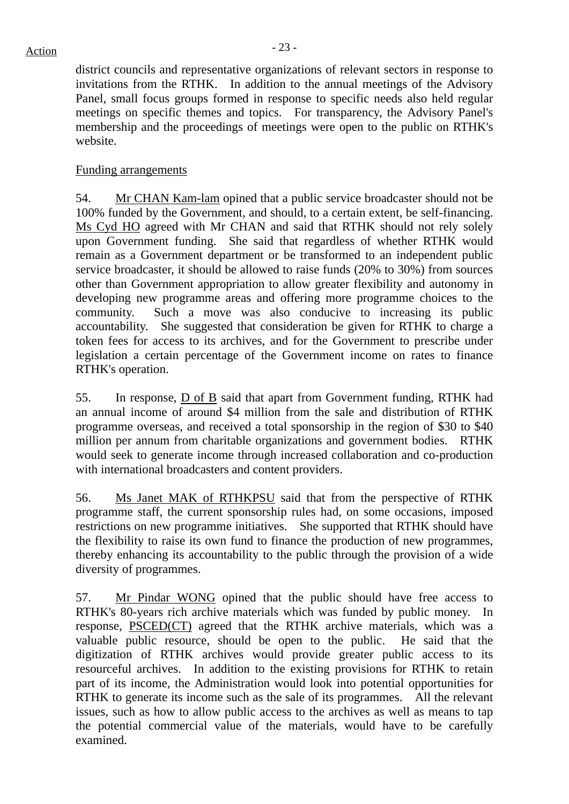district councils and representative organizations of relevant sectors in response to invitations from the RTHK. In addition to the annual meetings of the Advisory Panel, small focus groups formed in response to specific needs also held regular meetings on specific themes and topics. For transparency, the Advisory Panel's membership and the proceedings of meetings were open to the public on RTHK's website.

# Funding arrangements

54. Mr CHAN Kam-lam opined that a public service broadcaster should not be 100% funded by the Government, and should, to a certain extent, be self-financing. Ms Cyd HO agreed with Mr CHAN and said that RTHK should not rely solely upon Government funding. She said that regardless of whether RTHK would remain as a Government department or be transformed to an independent public service broadcaster, it should be allowed to raise funds (20% to 30%) from sources other than Government appropriation to allow greater flexibility and autonomy in developing new programme areas and offering more programme choices to the community. Such a move was also conducive to increasing its public accountability. She suggested that consideration be given for RTHK to charge a token fees for access to its archives, and for the Government to prescribe under legislation a certain percentage of the Government income on rates to finance RTHK's operation.

55. In response, D of B said that apart from Government funding, RTHK had an annual income of around \$4 million from the sale and distribution of RTHK programme overseas, and received a total sponsorship in the region of \$30 to \$40 million per annum from charitable organizations and government bodies. RTHK would seek to generate income through increased collaboration and co-production with international broadcasters and content providers.

56. Ms Janet MAK of RTHKPSU said that from the perspective of RTHK programme staff, the current sponsorship rules had, on some occasions, imposed restrictions on new programme initiatives. She supported that RTHK should have the flexibility to raise its own fund to finance the production of new programmes, thereby enhancing its accountability to the public through the provision of a wide diversity of programmes.

57. Mr Pindar WONG opined that the public should have free access to RTHK's 80-years rich archive materials which was funded by public money. In response, PSCED(CT) agreed that the RTHK archive materials, which was a valuable public resource, should be open to the public. He said that the digitization of RTHK archives would provide greater public access to its resourceful archives. In addition to the existing provisions for RTHK to retain part of its income, the Administration would look into potential opportunities for RTHK to generate its income such as the sale of its programmes. All the relevant issues, such as how to allow public access to the archives as well as means to tap the potential commercial value of the materials, would have to be carefully examined.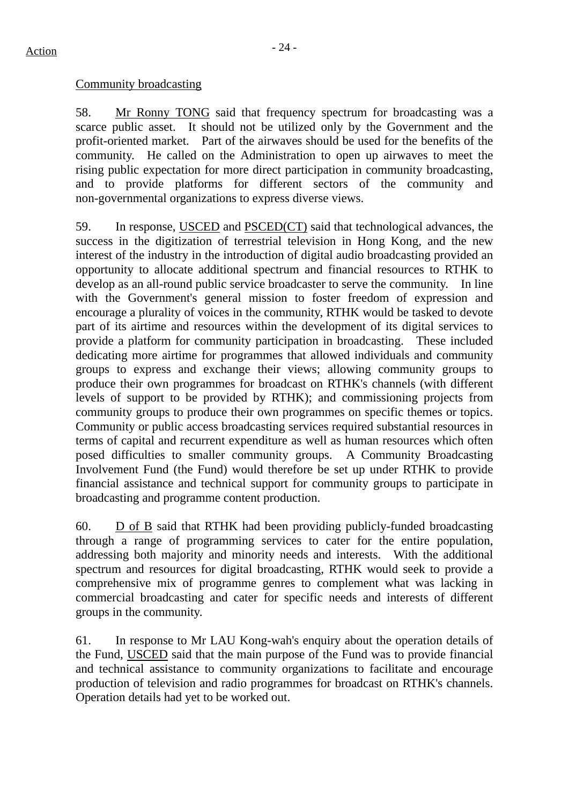#### Community broadcasting

58. Mr Ronny TONG said that frequency spectrum for broadcasting was a scarce public asset. It should not be utilized only by the Government and the profit-oriented market. Part of the airwaves should be used for the benefits of the community. He called on the Administration to open up airwaves to meet the rising public expectation for more direct participation in community broadcasting, and to provide platforms for different sectors of the community and non-governmental organizations to express diverse views.

59. In response, USCED and PSCED(CT) said that technological advances, the success in the digitization of terrestrial television in Hong Kong, and the new interest of the industry in the introduction of digital audio broadcasting provided an opportunity to allocate additional spectrum and financial resources to RTHK to develop as an all-round public service broadcaster to serve the community. In line with the Government's general mission to foster freedom of expression and encourage a plurality of voices in the community, RTHK would be tasked to devote part of its airtime and resources within the development of its digital services to provide a platform for community participation in broadcasting. These included dedicating more airtime for programmes that allowed individuals and community groups to express and exchange their views; allowing community groups to produce their own programmes for broadcast on RTHK's channels (with different levels of support to be provided by RTHK); and commissioning projects from community groups to produce their own programmes on specific themes or topics. Community or public access broadcasting services required substantial resources in terms of capital and recurrent expenditure as well as human resources which often posed difficulties to smaller community groups. A Community Broadcasting Involvement Fund (the Fund) would therefore be set up under RTHK to provide financial assistance and technical support for community groups to participate in broadcasting and programme content production.

60. D of B said that RTHK had been providing publicly-funded broadcasting through a range of programming services to cater for the entire population, addressing both majority and minority needs and interests. With the additional spectrum and resources for digital broadcasting, RTHK would seek to provide a comprehensive mix of programme genres to complement what was lacking in commercial broadcasting and cater for specific needs and interests of different groups in the community.

61. In response to Mr LAU Kong-wah's enquiry about the operation details of the Fund, USCED said that the main purpose of the Fund was to provide financial and technical assistance to community organizations to facilitate and encourage production of television and radio programmes for broadcast on RTHK's channels. Operation details had yet to be worked out.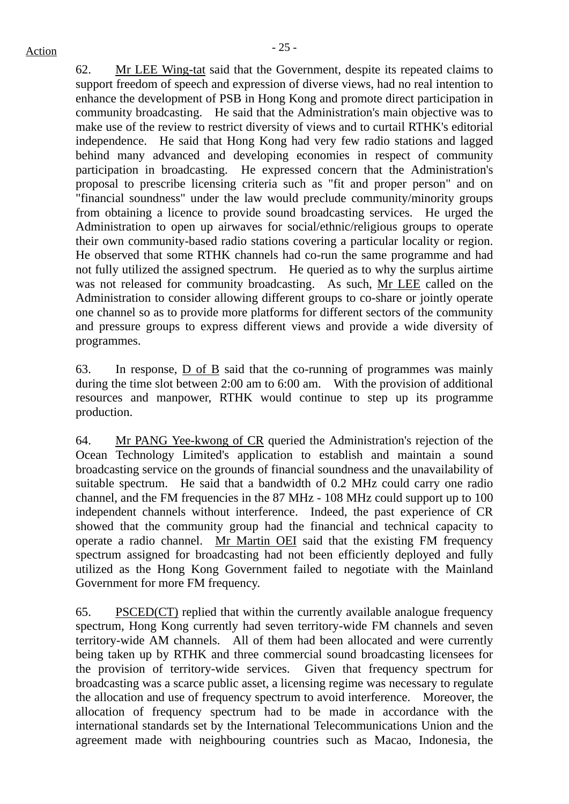62. Mr LEE Wing-tat said that the Government, despite its repeated claims to support freedom of speech and expression of diverse views, had no real intention to enhance the development of PSB in Hong Kong and promote direct participation in community broadcasting. He said that the Administration's main objective was to make use of the review to restrict diversity of views and to curtail RTHK's editorial independence. He said that Hong Kong had very few radio stations and lagged behind many advanced and developing economies in respect of community participation in broadcasting. He expressed concern that the Administration's proposal to prescribe licensing criteria such as "fit and proper person" and on "financial soundness" under the law would preclude community/minority groups from obtaining a licence to provide sound broadcasting services. He urged the Administration to open up airwaves for social/ethnic/religious groups to operate their own community-based radio stations covering a particular locality or region. He observed that some RTHK channels had co-run the same programme and had not fully utilized the assigned spectrum. He queried as to why the surplus airtime was not released for community broadcasting. As such, Mr LEE called on the Administration to consider allowing different groups to co-share or jointly operate one channel so as to provide more platforms for different sectors of the community and pressure groups to express different views and provide a wide diversity of programmes.

63. In response, D of B said that the co-running of programmes was mainly during the time slot between 2:00 am to 6:00 am. With the provision of additional resources and manpower, RTHK would continue to step up its programme production.

64. Mr PANG Yee-kwong of CR queried the Administration's rejection of the Ocean Technology Limited's application to establish and maintain a sound broadcasting service on the grounds of financial soundness and the unavailability of suitable spectrum. He said that a bandwidth of 0.2 MHz could carry one radio channel, and the FM frequencies in the 87 MHz - 108 MHz could support up to 100 independent channels without interference. Indeed, the past experience of CR showed that the community group had the financial and technical capacity to operate a radio channel. Mr Martin OEI said that the existing FM frequency spectrum assigned for broadcasting had not been efficiently deployed and fully utilized as the Hong Kong Government failed to negotiate with the Mainland Government for more FM frequency.

65. PSCED(CT) replied that within the currently available analogue frequency spectrum, Hong Kong currently had seven territory-wide FM channels and seven territory-wide AM channels. All of them had been allocated and were currently being taken up by RTHK and three commercial sound broadcasting licensees for the provision of territory-wide services. Given that frequency spectrum for broadcasting was a scarce public asset, a licensing regime was necessary to regulate the allocation and use of frequency spectrum to avoid interference. Moreover, the allocation of frequency spectrum had to be made in accordance with the international standards set by the International Telecommunications Union and the agreement made with neighbouring countries such as Macao, Indonesia, the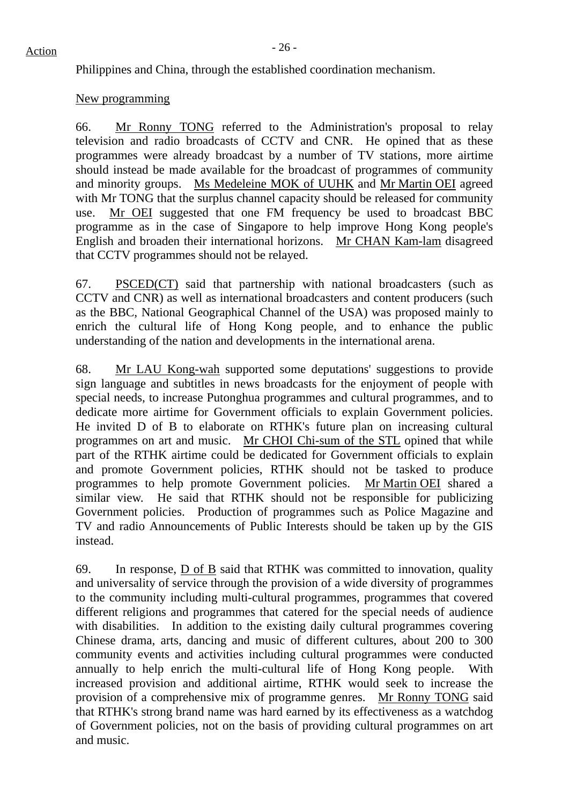# $Action$

Philippines and China, through the established coordination mechanism.

#### New programming

66. Mr Ronny TONG referred to the Administration's proposal to relay television and radio broadcasts of CCTV and CNR. He opined that as these programmes were already broadcast by a number of TV stations, more airtime should instead be made available for the broadcast of programmes of community and minority groups. Ms Medeleine MOK of UUHK and Mr Martin OEI agreed with Mr TONG that the surplus channel capacity should be released for community use. Mr OEI suggested that one FM frequency be used to broadcast BBC programme as in the case of Singapore to help improve Hong Kong people's English and broaden their international horizons. Mr CHAN Kam-lam disagreed that CCTV programmes should not be relayed.

67. PSCED(CT) said that partnership with national broadcasters (such as CCTV and CNR) as well as international broadcasters and content producers (such as the BBC, National Geographical Channel of the USA) was proposed mainly to enrich the cultural life of Hong Kong people, and to enhance the public understanding of the nation and developments in the international arena.

68. Mr LAU Kong-wah supported some deputations' suggestions to provide sign language and subtitles in news broadcasts for the enjoyment of people with special needs, to increase Putonghua programmes and cultural programmes, and to dedicate more airtime for Government officials to explain Government policies. He invited D of B to elaborate on RTHK's future plan on increasing cultural programmes on art and music. Mr CHOI Chi-sum of the STL opined that while part of the RTHK airtime could be dedicated for Government officials to explain and promote Government policies, RTHK should not be tasked to produce programmes to help promote Government policies. Mr Martin OEI shared a similar view. He said that RTHK should not be responsible for publicizing Government policies. Production of programmes such as Police Magazine and TV and radio Announcements of Public Interests should be taken up by the GIS instead.

69. In response, D of B said that RTHK was committed to innovation, quality and universality of service through the provision of a wide diversity of programmes to the community including multi-cultural programmes, programmes that covered different religions and programmes that catered for the special needs of audience with disabilities. In addition to the existing daily cultural programmes covering Chinese drama, arts, dancing and music of different cultures, about 200 to 300 community events and activities including cultural programmes were conducted annually to help enrich the multi-cultural life of Hong Kong people. With increased provision and additional airtime, RTHK would seek to increase the provision of a comprehensive mix of programme genres. Mr Ronny TONG said that RTHK's strong brand name was hard earned by its effectiveness as a watchdog of Government policies, not on the basis of providing cultural programmes on art and music.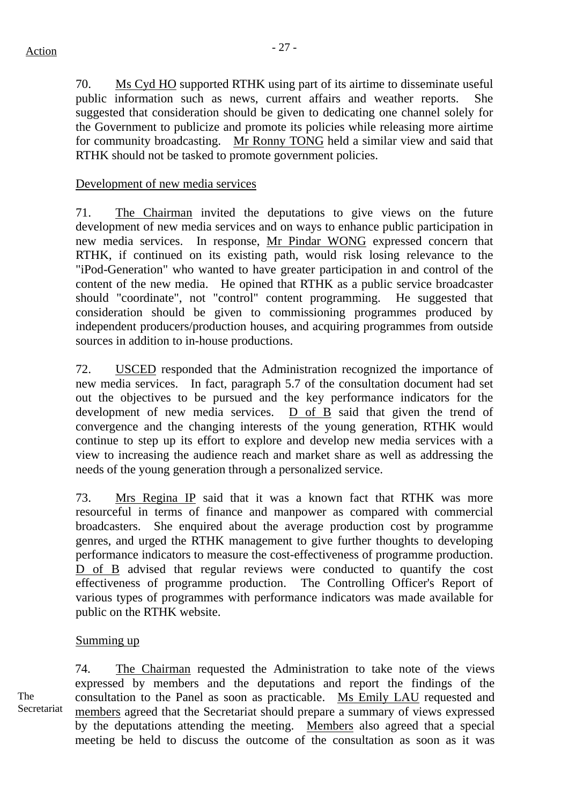70. Ms Cyd HO supported RTHK using part of its airtime to disseminate useful public information such as news, current affairs and weather reports. She suggested that consideration should be given to dedicating one channel solely for the Government to publicize and promote its policies while releasing more airtime for community broadcasting. Mr Ronny TONG held a similar view and said that RTHK should not be tasked to promote government policies.

# Development of new media services

71. The Chairman invited the deputations to give views on the future development of new media services and on ways to enhance public participation in new media services. In response, Mr Pindar WONG expressed concern that RTHK, if continued on its existing path, would risk losing relevance to the "iPod-Generation" who wanted to have greater participation in and control of the content of the new media. He opined that RTHK as a public service broadcaster should "coordinate", not "control" content programming. He suggested that consideration should be given to commissioning programmes produced by independent producers/production houses, and acquiring programmes from outside sources in addition to in-house productions.

72. USCED responded that the Administration recognized the importance of new media services. In fact, paragraph 5.7 of the consultation document had set out the objectives to be pursued and the key performance indicators for the development of new media services. D of B said that given the trend of convergence and the changing interests of the young generation, RTHK would continue to step up its effort to explore and develop new media services with a view to increasing the audience reach and market share as well as addressing the needs of the young generation through a personalized service.

73. Mrs Regina IP said that it was a known fact that RTHK was more resourceful in terms of finance and manpower as compared with commercial broadcasters. She enquired about the average production cost by programme genres, and urged the RTHK management to give further thoughts to developing performance indicators to measure the cost-effectiveness of programme production. D of B advised that regular reviews were conducted to quantify the cost effectiveness of programme production. The Controlling Officer's Report of various types of programmes with performance indicators was made available for public on the RTHK website.

# Summing up

The Secretariat 74. The Chairman requested the Administration to take note of the views expressed by members and the deputations and report the findings of the consultation to the Panel as soon as practicable. Ms Emily LAU requested and members agreed that the Secretariat should prepare a summary of views expressed by the deputations attending the meeting. Members also agreed that a special meeting be held to discuss the outcome of the consultation as soon as it was